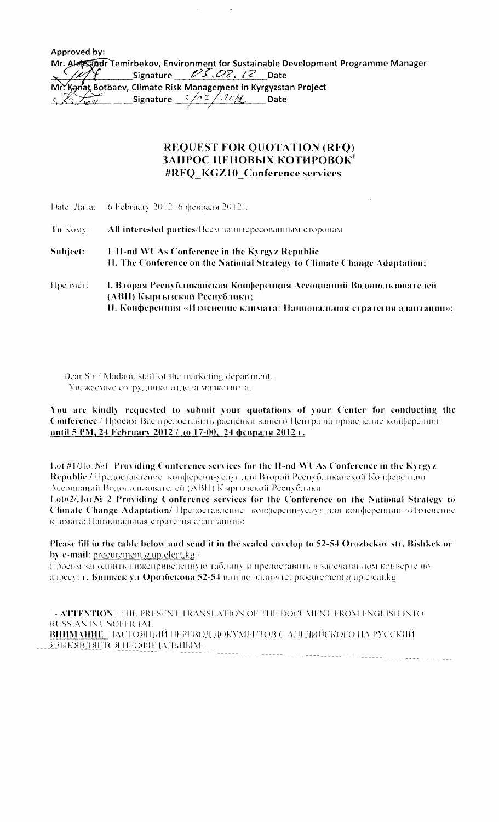Approved by: Mr. Alersandr Temirbekov, Environment for Sustainable Development Programme Manager , Signature *Pf,Oc.* (2 Date Mr. Kanat Botbaev, Climate Risk Management in Kyrgyzstan Project 4. Signature (0.2 / 10/g) Date

## REQUEST FOR QUOTATION (RFQ) ЗАПРОС ЦЕНОВЫХ КОТИРОВОК' #RFQ KGZ10 Conference services

|           | Date 'Дата: 6 February 2012 '6 февраля 2012г.                                                                                         |  |
|-----------|---------------------------------------------------------------------------------------------------------------------------------------|--|
| To Komy:  | All interested parties/Всем заинтересованным сторонам                                                                                 |  |
| Subject:- | $\mathbb{L}$ H-nd WUAs Conference in the Kyrgyz Republic<br>II. The Conference on the National Strategy to Climate Change Adaptation; |  |
| Hpermert  | 1. Вторая Республиканская Конференция Ассоциаций Водопользователей<br>(АВП) Кыргызской Республики;                                    |  |

II. Конференция «Изменение климата: Национальная стратегия адаптацин»;

Dear Sir / Madam, staff of the marketing department. Уважаемые сотрудники отдела маркетинга.

You are kindly requested to submit your quotations of your Center for conducting the Conference / Просим: Вас предоставить расценки вашего Центра на проведение конференции until 5 PM, 24 February 2012 / *(0 17-00, 24 февраля 2012 г.* 

Lot #1/JlorNel Providing Conference services for the II-nd WUAs Conference in the Kyrgyz Republic / Предоставление конференц-услуг для Второй Республиканской Конференции . Ассоциаций Водопользователей (АВП) Кыргызской Республики

Lot#2/JorNe 2 Providing Conference services for the Conference on the National Strategy to Climate Change Adaptation/ Предоставление конференц-услуг для конференции «Изменение климата: Национальная стратегия адаптации»;

Please fill in the table below and send it in the sealed envelop to 52-54 Orozbekov str. Bishkek or by e-mail: procurement/ $a$  up eleat.kg /

IlpOClt\l '{(lJIO.'11111Th IJll/l\\~IIPHBl\;lCIIII)'I{) TaO\_'lltllY II IIpe;lOCTLlBlfTI> B '~~1IIl'L(lTa""0\1 KOIIBCPll' lin адресу: г. Бишкек ул Орозбекова 52-54 или по эллючте: procurement a up cleat.kg

 $\frac{1}{2}$  - ATTENTION: THE PRESENT TRANSLATION OF THE DOCUMENT FROM ENGLISH INTO ... RUSSIAN IS UNOFFICIAL <u>ВНИМАНИЕ:</u> НАСТОЯЩИЙ ПЕРЕВОД ДОКУМЕНТОВ С АПГЛИЙСКОГО НА РУССКИЙ <u>ЯЗЫКЯВЛЯЕТСЯ ІН:ОФИЦАЛЬНЫМ.</u>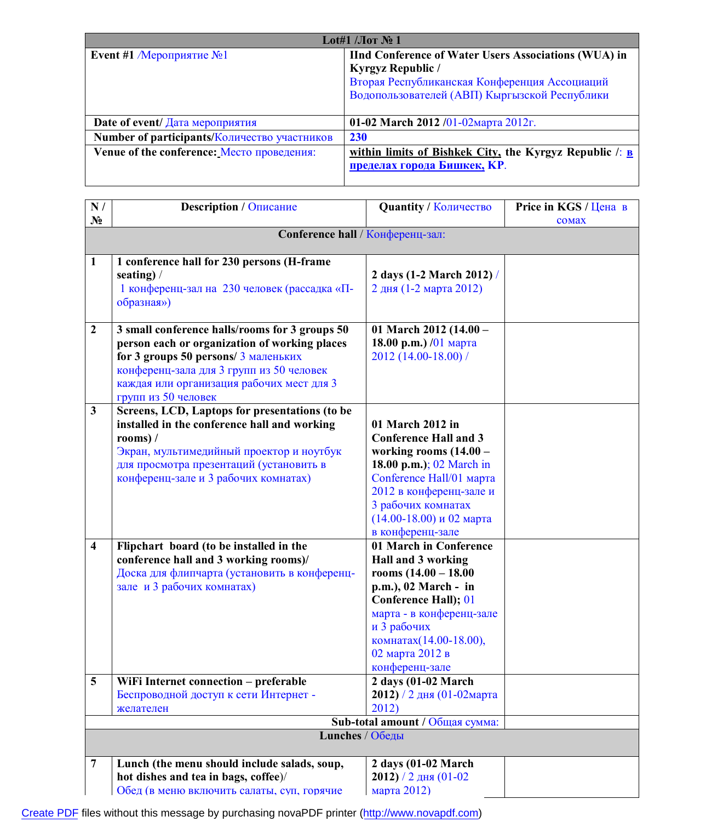| Lot#1 / <i>Jor N</i> <sup>o</sup> 1          |                                                                                                                                                                                    |  |
|----------------------------------------------|------------------------------------------------------------------------------------------------------------------------------------------------------------------------------------|--|
| Event #1 / Мероприятие $N_2$ 1               | <b>IInd Conference of Water Users Associations (WUA) in</b><br>Kyrgyz Republic /<br>Вторая Республиканская Конференция Ассоциаций<br>Водопользователей (АВП) Кыргызской Республики |  |
| Date of event/ $\pi$ <sub>ara Meponpus</sub> | 01-02 March 2012 /01-02 Mapra 2012 $\Gamma$ .                                                                                                                                      |  |
| Number of participants/Количество участников | 230                                                                                                                                                                                |  |
| Venue of the conference: Место проведения:   | within limits of Bishkek City, the Kyrgyz Republic $\Gamma$ .<br>пределах города Бишкек, КР.                                                                                       |  |

| N/                      | <b>Description / Описание</b>                                | <b>Quantity / Количество</b>                        | Price in KGS / Цена в |  |  |
|-------------------------|--------------------------------------------------------------|-----------------------------------------------------|-----------------------|--|--|
| $N_2$                   |                                                              |                                                     | comax                 |  |  |
|                         | Conference hall / Конференц-зал:                             |                                                     |                       |  |  |
|                         |                                                              |                                                     |                       |  |  |
| $\mathbf{1}$            | 1 conference hall for 230 persons (H-frame                   |                                                     |                       |  |  |
|                         | seating) $/$<br>1 конференц-зал на 230 человек (рассадка «П- | 2 days (1-2 March 2012) /<br>2 дня (1-2 марта 2012) |                       |  |  |
|                         | образная»)                                                   |                                                     |                       |  |  |
|                         |                                                              |                                                     |                       |  |  |
| $\boldsymbol{2}$        | 3 small conference halls/rooms for 3 groups 50               | 01 March 2012 (14.00 -                              |                       |  |  |
|                         | person each or organization of working places                | 18.00 р.т.) /01 марта                               |                       |  |  |
|                         | for 3 groups 50 persons/ 3 маленьких                         | 2012 (14.00-18.00) /                                |                       |  |  |
|                         | конференц-зала для 3 групп из 50 человек                     |                                                     |                       |  |  |
|                         | каждая или организация рабочих мест для 3                    |                                                     |                       |  |  |
|                         | групп из 50 человек                                          |                                                     |                       |  |  |
| $\mathbf{3}$            | Screens, LCD, Laptops for presentations (to be               |                                                     |                       |  |  |
|                         | installed in the conference hall and working                 | 01 March 2012 in<br><b>Conference Hall and 3</b>    |                       |  |  |
|                         | rooms) $/$<br>Экран, мультимедийный проектор и ноутбук       | working rooms $(14.00 -$                            |                       |  |  |
|                         | для просмотра презентаций (установить в                      | 18.00 p.m.); $02$ March in                          |                       |  |  |
|                         | конференц-зале и 3 рабочих комнатах)                         | Conference Hall/01 марта                            |                       |  |  |
|                         |                                                              | 2012 в конференц-зале и                             |                       |  |  |
|                         |                                                              | 3 рабочих комнатах                                  |                       |  |  |
|                         |                                                              | $(14.00-18.00)$ и 02 марта                          |                       |  |  |
|                         |                                                              | в конференц-зале                                    |                       |  |  |
| $\overline{\mathbf{4}}$ | Flipchart board (to be installed in the                      | 01 March in Conference                              |                       |  |  |
|                         | conference hall and 3 working rooms)/                        | Hall and 3 working                                  |                       |  |  |
|                         | Доска для флипчарта (установить в конференц-                 | rooms $(14.00 - 18.00)$                             |                       |  |  |
|                         | зале и 3 рабочих комнатах)                                   | p.m.), 02 March - in                                |                       |  |  |
|                         |                                                              | <b>Conference Hall); 01</b>                         |                       |  |  |
|                         |                                                              | марта - в конференц-зале<br>и 3 рабочих             |                       |  |  |
|                         |                                                              | комнатах(14.00-18.00),                              |                       |  |  |
|                         |                                                              | 02 марта 2012 в                                     |                       |  |  |
|                         |                                                              | конференц-зале                                      |                       |  |  |
| 5                       | WiFi Internet connection - preferable                        | 2 days (01-02 March                                 |                       |  |  |
|                         | Беспроводной доступ к сети Интернет -                        | 2012) / 2 дня (01-02марта                           |                       |  |  |
|                         | желателен                                                    | 2012)                                               |                       |  |  |
|                         |                                                              | Sub-total amount / Общая сумма:                     |                       |  |  |
|                         | Lunches / Обеды                                              |                                                     |                       |  |  |
| $\overline{7}$          | Lunch (the menu should include salads, soup,                 | $2 \text{ days}$ (01-02 March                       |                       |  |  |
|                         | hot dishes and tea in bags, coffee)/                         | 2012) / 2 дня (01-02                                |                       |  |  |
|                         | Обед (в меню включить салаты, суп, горячие                   | марта 2012)                                         |                       |  |  |

[Create PDF](http://www.novapdf.com) files without this message by purchasing novaPDF printer (<http://www.novapdf.com>)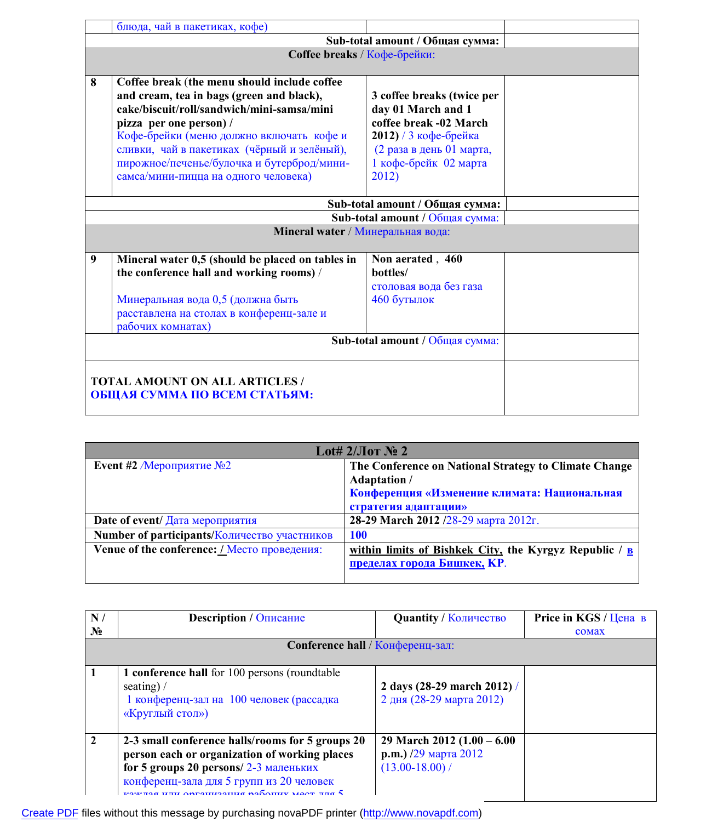|   | блюда, чай в пакетиках, кофе)                                                                                                                                                                                                                                                                               |                                                                                                                                                          |  |
|---|-------------------------------------------------------------------------------------------------------------------------------------------------------------------------------------------------------------------------------------------------------------------------------------------------------------|----------------------------------------------------------------------------------------------------------------------------------------------------------|--|
|   | Sub-total amount / Общая сумма:                                                                                                                                                                                                                                                                             |                                                                                                                                                          |  |
|   | Coffee breaks / Кофе-брейки:                                                                                                                                                                                                                                                                                |                                                                                                                                                          |  |
| 8 | Coffee break (the menu should include coffee<br>and cream, tea in bags (green and black),<br>cake/biscuit/roll/sandwich/mini-samsa/mini<br>pizza per one person) /<br>Кофе-брейки (меню должно включать кофе и<br>сливки, чай в пакетиках (чёрный и зелёный),<br>пирожное/печенье/булочка и бутерброд/мини- | 3 coffee breaks (twice per<br>day 01 March and 1<br>coffee break -02 March<br>2012) / 3 кофе-брейка<br>(2 раза в день 01 марта,<br>1 кофе-брейк 02 марта |  |
|   | самса/мини-пицца на одного человека)                                                                                                                                                                                                                                                                        | 2012)                                                                                                                                                    |  |
|   |                                                                                                                                                                                                                                                                                                             | Sub-total amount / Общая сумма:                                                                                                                          |  |
|   |                                                                                                                                                                                                                                                                                                             | Sub-total amount / Общая сумма:                                                                                                                          |  |
|   | Mineral water / Минеральная вода:                                                                                                                                                                                                                                                                           |                                                                                                                                                          |  |
| 9 | Mineral water 0,5 (should be placed on tables in<br>the conference hall and working rooms) /                                                                                                                                                                                                                | Non aerated, 460<br>bottles/<br>столовая вода без газа                                                                                                   |  |
|   | Минеральная вода 0,5 (должна быть<br>расставлена на столах в конференц-зале и<br>рабочих комнатах)                                                                                                                                                                                                          | 460 бутылок                                                                                                                                              |  |
|   |                                                                                                                                                                                                                                                                                                             | Sub-total amount / Общая сумма:                                                                                                                          |  |
|   | <b>TOTAL AMOUNT ON ALL ARTICLES /</b><br>ОБЩАЯ СУММА ПО ВСЕМ СТАТЬЯМ:                                                                                                                                                                                                                                       |                                                                                                                                                          |  |

| Lot# $2/\text{Jor}$ No 2                         |                                                                               |  |
|--------------------------------------------------|-------------------------------------------------------------------------------|--|
| Event #2 <i>Meponpus THe</i> $N2$                | The Conference on National Strategy to Climate Change<br><b>Adaptation</b> /  |  |
|                                                  | Конференция «Изменение климата: Национальная                                  |  |
|                                                  | стратегия адаптации»                                                          |  |
| Date of event/ $\pi$ <sub>ara</sub> Meponpus Tus | 28-29 March 2012 /28-29 марта 2012г.                                          |  |
| Number of participants/Количество участников     | <b>100</b>                                                                    |  |
| Venue of the conference: / Место проведения:     | within limits of Bishkek City, the Kyrgyz Republic / $\underline{\mathbf{B}}$ |  |
|                                                  | пределах города Бишкек, КР.                                                   |  |
|                                                  |                                                                               |  |

| N/               | <b>Description</b> / Описание                                                                                                                                                                                                    | <b>Quantity / Количество</b>                                                | Price in KGS / Цена в |
|------------------|----------------------------------------------------------------------------------------------------------------------------------------------------------------------------------------------------------------------------------|-----------------------------------------------------------------------------|-----------------------|
| $\mathbf{N_2}$   |                                                                                                                                                                                                                                  |                                                                             | comax                 |
|                  | Conference hall / Конференц-зал:                                                                                                                                                                                                 |                                                                             |                       |
|                  | 1 conference hall for 100 persons (roundtable)<br>seating) $\sqrt{ }$<br>1 конференц-зал на 100 человек (рассадка<br>«Круглый стол»)                                                                                             | 2 days $(28-29$ march $2012$ ) /<br>2 дня (28-29 марта 2012)                |                       |
| $\boldsymbol{2}$ | 2-3 small conference halls/rooms for 5 groups 20<br>person each or organization of working places<br>for 5 groups 20 persons/ 2-3 маленьких<br>конференц-зала для 5 групп из 20 человек<br>og unu annouvoquug nohamiy maan nng 5 | 29 March 2012 $(1.00 - 6.00)$<br>р. т.) /29 марта 2012<br>$(13.00 - 18.00)$ |                       |

[Create PDF](http://www.novapdf.com) files without this message by purchasing novaPDF printer (<http://www.novapdf.com>)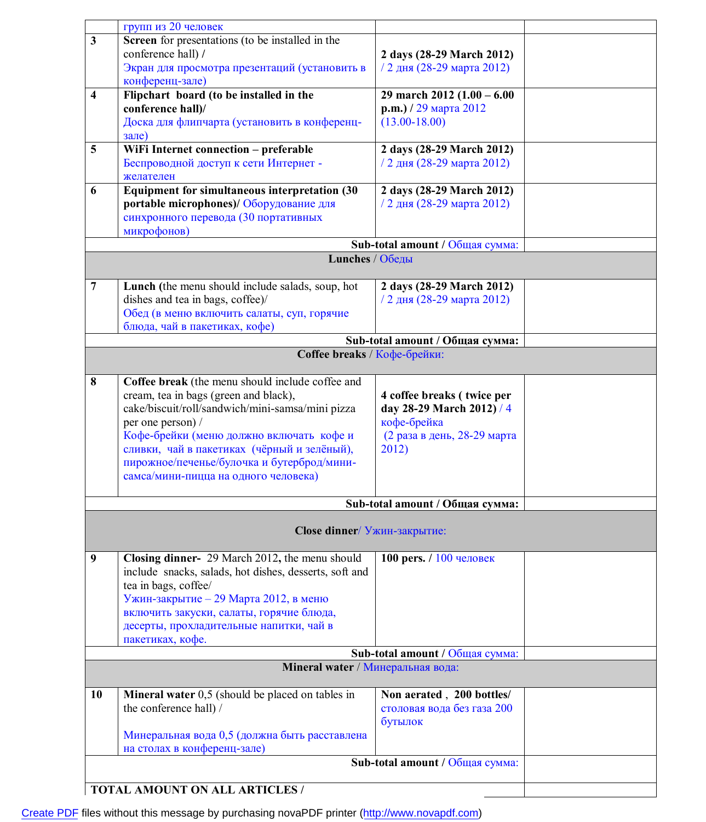|                                 | групп из 20 человек                                       |                                 |  |
|---------------------------------|-----------------------------------------------------------|---------------------------------|--|
|                                 |                                                           |                                 |  |
| $\mathbf{3}$                    | Screen for presentations (to be installed in the          |                                 |  |
|                                 | conference hall) /                                        | 2 days (28-29 March 2012)       |  |
|                                 | Экран для просмотра презентаций (установить в             | / 2 дня (28-29 марта 2012)      |  |
|                                 | конференц-зале)                                           |                                 |  |
| $\overline{\mathbf{4}}$         | Flipchart board (to be installed in the                   | 29 march 2012 $(1.00 - 6.00)$   |  |
|                                 | conference hall)/                                         | р. т.) / 29 марта 2012          |  |
|                                 | Доска для флипчарта (установить в конференц-              | $(13.00 - 18.00)$               |  |
|                                 | зале)                                                     |                                 |  |
| 5                               | WiFi Internet connection - preferable                     | 2 days (28-29 March 2012)       |  |
|                                 | Беспроводной доступ к сети Интернет -                     | / 2 дня (28-29 марта 2012)      |  |
|                                 | желателен                                                 |                                 |  |
| 6                               |                                                           |                                 |  |
|                                 | Equipment for simultaneous interpretation (30             | 2 days (28-29 March 2012)       |  |
|                                 | portable microphones)/ Оборудование для                   | / 2 дня (28-29 марта 2012)      |  |
|                                 | синхронного перевода (30 портативных                      |                                 |  |
|                                 | микрофонов)                                               |                                 |  |
|                                 |                                                           | Sub-total amount / Общая сумма: |  |
|                                 | Lunches / Обеды                                           |                                 |  |
|                                 |                                                           |                                 |  |
| $\overline{7}$                  | Lunch (the menu should include salads, soup, hot          | 2 days (28-29 March 2012)       |  |
|                                 | dishes and tea in bags, coffee)/                          | / 2 дня (28-29 марта 2012)      |  |
|                                 | Обед (в меню включить салаты, суп, горячие                |                                 |  |
|                                 | блюда, чай в пакетиках, кофе)                             |                                 |  |
|                                 |                                                           | Sub-total amount / Общая сумма: |  |
|                                 | Coffee breaks / Кофе-брейки:                              |                                 |  |
|                                 |                                                           |                                 |  |
| 8                               | Coffee break (the menu should include coffee and          |                                 |  |
|                                 |                                                           |                                 |  |
|                                 | cream, tea in bags (green and black),                     | 4 coffee breaks (twice per      |  |
|                                 | cake/biscuit/roll/sandwich/mini-samsa/mini pizza          | day 28-29 March 2012) / 4       |  |
|                                 | per one person) /                                         | кофе-брейка                     |  |
|                                 | Кофе-брейки (меню должно включать кофе и                  | (2 раза в день, 28-29 марта     |  |
|                                 | сливки, чай в пакетиках (чёрный и зелёный),               | 2012)                           |  |
|                                 | пирожное/печенье/булочка и бутерброд/мини-                |                                 |  |
|                                 | самса/мини-пицца на одного человека)                      |                                 |  |
|                                 |                                                           |                                 |  |
|                                 |                                                           | Sub-total amount / Общая сумма: |  |
|                                 |                                                           |                                 |  |
|                                 | Close dinner/ Ужин-закрытие:                              |                                 |  |
| 9                               | Closing dinner- 29 March 2012, the menu should            | 100 pers. / 100 человек         |  |
|                                 | include snacks, salads, hot dishes, desserts, soft and    |                                 |  |
|                                 | tea in bags, coffee/                                      |                                 |  |
|                                 | Ужин-закрытие - 29 Марта 2012, в меню                     |                                 |  |
|                                 | включить закуски, салаты, горячие блюда,                  |                                 |  |
|                                 |                                                           |                                 |  |
|                                 | десерты, прохладительные напитки, чай в                   |                                 |  |
|                                 | пакетиках, кофе.                                          |                                 |  |
|                                 |                                                           | Sub-total amount / Общая сумма: |  |
|                                 | Mineral water / Минеральная вода:                         |                                 |  |
| 10                              | <b>Mineral water</b> $0,5$ (should be placed on tables in | Non aerated, 200 bottles/       |  |
|                                 | the conference hall) /                                    | столовая вода без газа 200      |  |
|                                 |                                                           | бутылок                         |  |
|                                 | Минеральная вода 0,5 (должна быть расставлена             |                                 |  |
|                                 | на столах в конференц-зале)                               |                                 |  |
| Sub-total amount / Общая сумма: |                                                           |                                 |  |
|                                 |                                                           |                                 |  |
|                                 | TOTAL AMOUNT ON ALL ARTICLES /                            |                                 |  |
|                                 |                                                           |                                 |  |

[Create PDF](http://www.novapdf.com) files without this message by purchasing novaPDF printer (<http://www.novapdf.com>)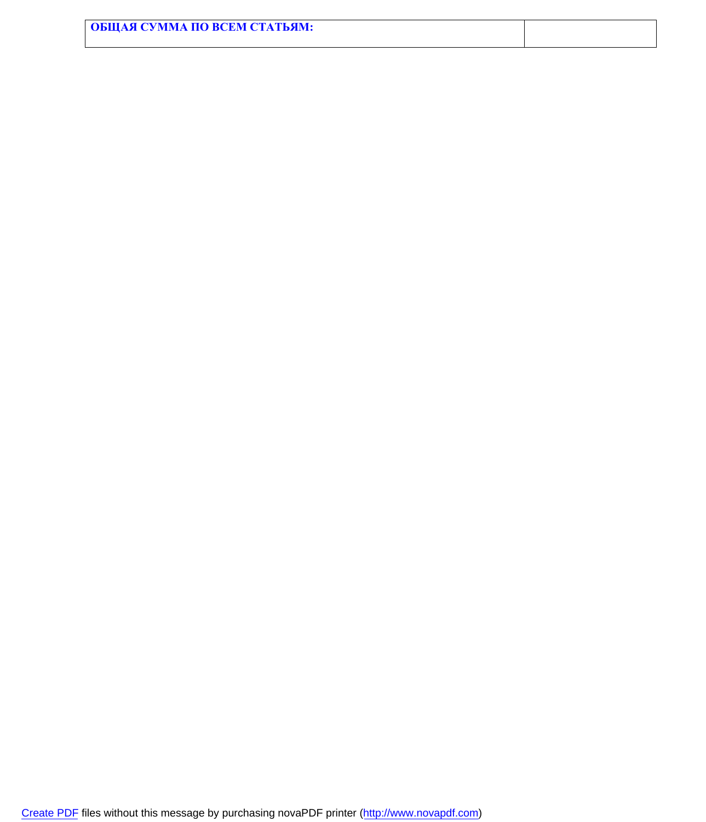| ОБЩАЯ СУММА ПО ВСЕМ СТАТЬЯМ: |  |
|------------------------------|--|
|                              |  |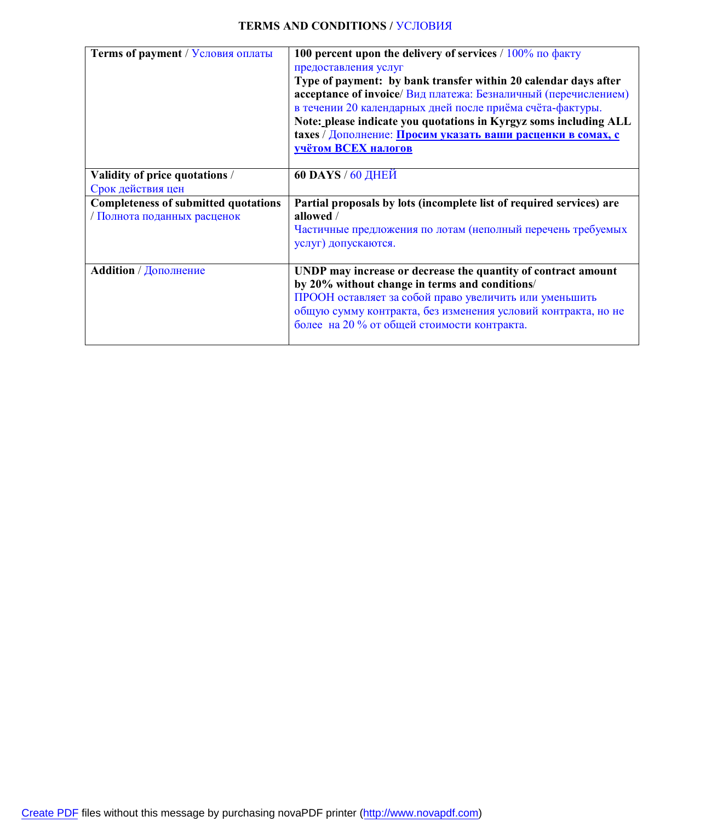## **TERMS AND CONDITIONS /** УСЛОВИЯ

| Terms of payment / Условия оплаты                                          | 100 percent upon the delivery of services $/ 100\%$ no $\phi$ akty<br>предоставления услуг<br>Type of payment: by bank transfer within 20 calendar days after<br>acceptance of invoice/ Вид платежа: Безналичный (перечислением)<br>в течении 20 календарных дней после приёма счёта-фактуры.<br>Note: please indicate you quotations in Kyrgyz soms including ALL<br>taxes / Дополнение: Просим указать ваши расценки в сомах, с<br><b>УЧЁТОМ ВСЕХ НАЛОГОВ</b> |
|----------------------------------------------------------------------------|-----------------------------------------------------------------------------------------------------------------------------------------------------------------------------------------------------------------------------------------------------------------------------------------------------------------------------------------------------------------------------------------------------------------------------------------------------------------|
| Validity of price quotations /<br>Срок действия цен                        | <b>60 DAYS</b> / 60 ДНЕЙ                                                                                                                                                                                                                                                                                                                                                                                                                                        |
| <b>Completeness of submitted quotations</b><br>/ Полнота поданных расценок | Partial proposals by lots (incomplete list of required services) are<br>allowed /<br>Частичные предложения по лотам (неполный перечень требуемых<br>услуг) допускаются.                                                                                                                                                                                                                                                                                         |
| <b>Addition</b> / Дополнение                                               | UNDP may increase or decrease the quantity of contract amount<br>by 20% without change in terms and conditions/<br>ПРООН оставляет за собой право увеличить или уменьшить<br>общую сумму контракта, без изменения условий контракта, но не<br>более на 20 % от общей стоимости контракта.                                                                                                                                                                       |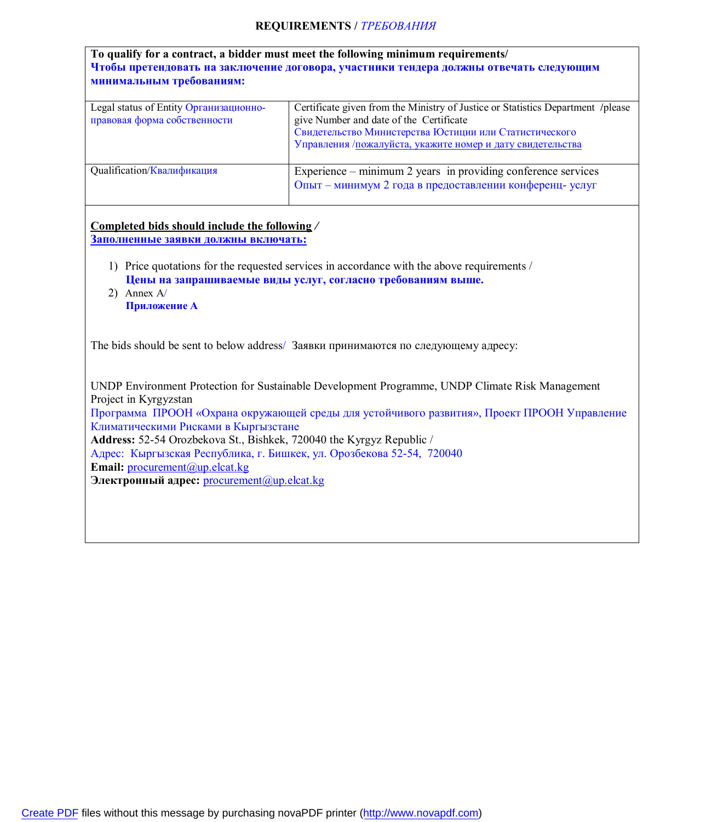## **REQUIREMENTS /** *ТРЕБОВАНИЯ*

| Legal status of Entity Организационно-<br>правовая форма собственности                                                                                                                                         | Certificate given from the Ministry of Justice or Statistics Department /please<br>give Number and date of the Certificate<br>Свидетельство Министерства Юстиции или Статистического<br>Управления /пожалуйста, укажите номер и дату свидетельства |
|----------------------------------------------------------------------------------------------------------------------------------------------------------------------------------------------------------------|----------------------------------------------------------------------------------------------------------------------------------------------------------------------------------------------------------------------------------------------------|
| Qualification/Квалификация                                                                                                                                                                                     | Experience – minimum 2 years in providing conference services<br>Опыт - минимум 2 года в предоставлении конференц- услуг                                                                                                                           |
| Completed bids should include the following /                                                                                                                                                                  |                                                                                                                                                                                                                                                    |
| Заполненные заявки должны включать:                                                                                                                                                                            |                                                                                                                                                                                                                                                    |
| 2) Annex $A$<br>Приложение А                                                                                                                                                                                   | 1) Price quotations for the requested services in accordance with the above requirements /<br>Цены на запрашиваемые виды услуг, согласно требованиям выше.                                                                                         |
|                                                                                                                                                                                                                | The bids should be sent to below address/ Заявки принимаются по следующему адресу:                                                                                                                                                                 |
| Project in Kyrgyzstan<br>Климатическими Рисками в Кыргызстане<br>Address: 52-54 Orozbekova St., Bishkek, 720040 the Kyrgyz Republic /<br>Адрес: Кыргызская Республика, г. Бишкек, ул. Орозбекова 52-54, 720040 | UNDP Environment Protection for Sustainable Development Programme, UNDP Climate Risk Management<br>Программа ПРООН «Охрана окружающей среды для устойчивого развития», Проект ПРООН Управление                                                     |